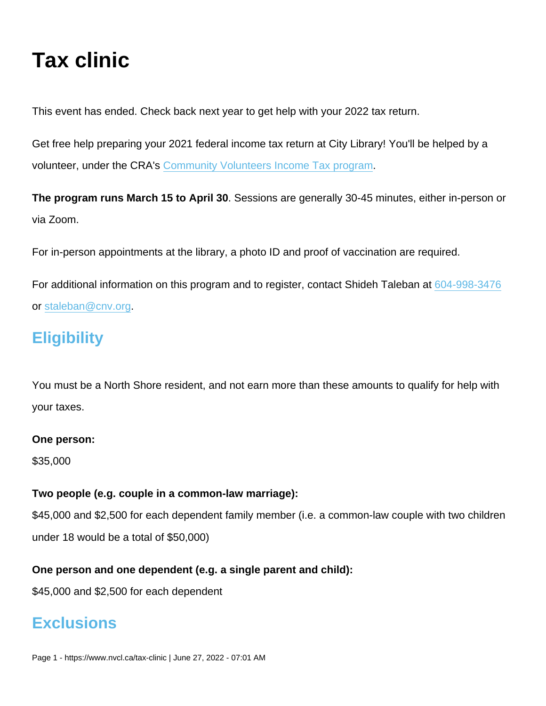# Tax clinic

This event has ended. Check back next year to get help with your 2022 tax return.

Get free help preparing your 2021 federal income tax return at City Library! You'll be helped by a volunteer, under the CRA's [Community Volunteers Income Tax program](https://www.canada.ca/en/revenue-agency/campaigns/cvitp-taxes-volunteers.html).

The program runs March 15 to April 30 . Sessions are generally 30-45 minutes, either in-person or via Zoom.

For in-person appointments at the library, a photo ID and proof of vaccination are required.

For additional information on this program and to register, contact Shideh Taleban at [604-998-3476](tel:604-998-3476) or [staleban@cnv.org.](mailto:staleban@cnv.org)

## **Eligibility**

You must be a North Shore resident, and not earn more than these amounts to qualify for help with your taxes.

One person:

\$35,000

Two people (e.g. couple in a common-law marriage):

\$45,000 and \$2,500 for each dependent family member (i.e. a common-law couple with two children under 18 would be a total of \$50,000)

One person and one dependent (e.g. a single parent and child):

\$45,000 and \$2,500 for each dependent

### **Exclusions**

Page 1 - https://www.nvcl.ca/tax-clinic | June 27, 2022 - 07:01 AM